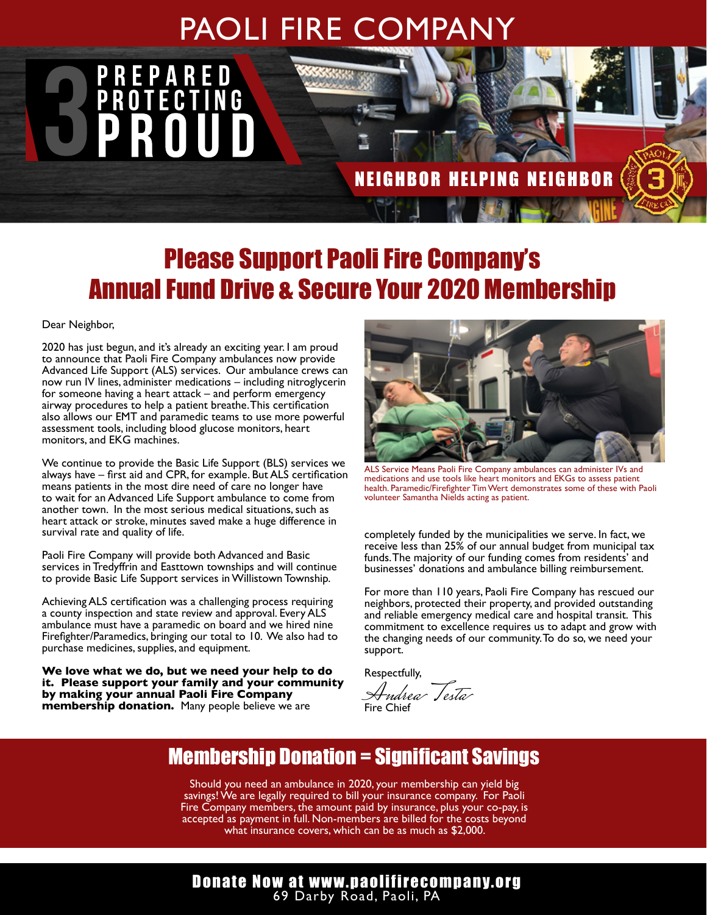## PAOLI FIRE COMPANY Volume Fire and Emergency Service Since 1909 Service Since 1909 Service Since 1909 Service Since 1909 Service

### NEIGHBOR HELPING NEIGHBOR

# Please Support Paoli Fire Company's Annual Fund Drive & Secure Your 2020 Membership

Dear Neighbor,

2020 has just begun, and it's already an exciting year. I am proud to announce that Paoli Fire Company ambulances now provide Advanced Life Support (ALS) services. Our ambulance crews can now run IV lines, administer medications – including nitroglycerin for someone having a heart attack – and perform emergency airway procedures to help a patient breathe. This certification also allows our EMT and paramedic teams to use more powerful assessment tools, including blood glucose monitors, heart monitors, and EKG machines.

We continue to provide the Basic Life Support (BLS) services we always have – first aid and CPR, for example. But ALS certification means patients in the most dire need of care no longer have to wait for an Advanced Life Support ambulance to come from another town. In the most serious medical situations, such as heart attack or stroke, minutes saved make a huge difference in survival rate and quality of life.

Paoli Fire Company will provide both Advanced and Basic services in Tredyffrin and Easttown townships and will continue to provide Basic Life Support services in Willistown Township.

Achieving ALS certification was a challenging process requiring a county inspection and state review and approval. Every ALS ambulance must have a paramedic on board and we hired nine Firefighter/Paramedics, bringing our total to 10. We also had to purchase medicines, supplies, and equipment.

**We love what we do, but we need your help to do it. Please support your family and your community by making your annual Paoli Fire Company membership donation.** Many people believe we are



ALS Service Means Paoli Fire Company ambulances can administer IVs and medications and use tools like heart monitors and EKGs to assess patient health. Paramedic/Firefighter Tim Wert demonstrates some of these with Paoli volunteer Samantha Nields acting as patient.

completely funded by the municipalities we serve. In fact, we receive less than 25% of our annual budget from municipal tax funds. The majority of our funding comes from residents' and businesses' donations and ambulance billing reimbursement.

For more than 110 years, Paoli Fire Company has rescued our neighbors, protected their property, and provided outstanding and reliable emergency medical care and hospital transit. This commitment to excellence requires us to adapt and grow with the changing needs of our community. To do so, we need your support.

Respectfully,

Andrea Testa Fire Chief

### Membership Donation = Significant Savings

Should you need an ambulance in 2020, your membership can yield big savings! We are legally required to bill your insurance company. For Paoli Fire Company members, the amount paid by insurance, plus your co-pay, is accepted as payment in full. Non-members are billed for the costs beyond what insurance covers, which can be as much as \$2,000.

#### Donate Now at www.paolifirecompany.org 69 Darby Road, Paoli, PA